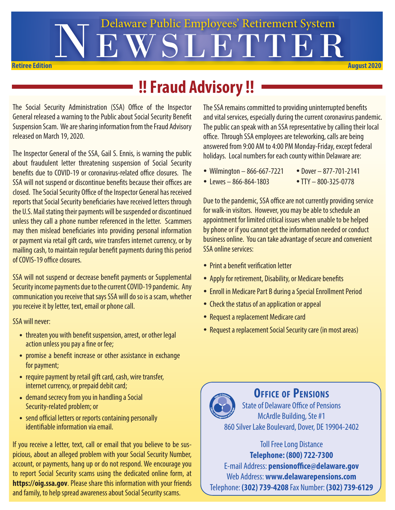

## **!! Fraud Advisory !!**

The Social Security Administration (SSA) Office of the Inspector General released a warning to the Public about Social Security Benefit Suspension Scam. We are sharing information from the Fraud Advisory released on March 19, 2020.

The Inspector General of the SSA, Gail S. Ennis, is warning the public about fraudulent letter threatening suspension of Social Security benefits due to COVID-19 or coronavirus-related office closures. The SSA will not suspend or discontinue benefits because their offices are closed. The Social Security Office of the Inspector General has received reports that Social Security beneficiaries have received letters through the U.S. Mail stating their payments will be suspended or discontinued unless they call a phone number referenced in the letter. Scammers may then mislead beneficiaries into providing personal information or payment via retail gift cards, wire transfers internet currency, or by mailing cash, to maintain regular benefit payments during this period of COVIS-19 office closures.

SSA will not suspend or decrease benefit payments or Supplemental Security income payments due to the current COVID-19 pandemic. Any communication you receive that says SSA will do so is a scam, whether you receive it by letter, text, email or phone call.

SSA will never:

- threaten you with benefit suspension, arrest, or other legal action unless you pay a fine or fee;
- promise a benefit increase or other assistance in exchange for payment;
- require payment by retail gift card, cash, wire transfer, internet currency, or prepaid debit card;
- demand secrecy from you in handling a Social Security-related problem; or
- send official letters or reports containing personally identifiable information via email.

If you receive a letter, text, call or email that you believe to be suspicious, about an alleged problem with your Social Security Number, account, or payments, hang up or do not respond. We encourage you to report Social Security scams using the dedicated online form, at **https://oig.ssa.gov**. Please share this information with your friends and family, to help spread awareness about Social Security scams.

The SSA remains committed to providing uninterrupted benefits and vital services, especially during the current coronavirus pandemic. The public can speak with an SSA representative by calling their local office. Through SSA employees are teleworking, calls are being answered from 9:00 AM to 4:00 PM Monday-Friday, except federal holidays. Local numbers for each county within Delaware are:

- 
- $\bullet$  Wilmington 866-667-7221  $\bullet$  Dover 877-701-2141
- Lewes 866-864-1803 TTY 800-325-0778

Due to the pandemic, SSA office are not currently providing service for walk-in visitors. However, you may be able to schedule an appointment for limited critical issues when unable to be helped by phone or if you cannot get the information needed or conduct business online. You can take advantage of secure and convenient SSA online services:

- Print a benefit verification letter
- Apply for retirement, Disability, or Medicare benefits
- Enroll in Medicare Part B during a Special Enrollment Period
- Check the status of an application or appeal
- Request a replacement Medicare card
- Request a replacement Social Security care (in most areas)



#### **Office of Pensions**

State of Delaware Office of Pensions McArdle Building, Ste #1 860 Silver Lake Boulevard, Dover, DE 19904-2402

> Toll Free Long Distance **Telephone: (800) 722-7300**

E-mail Address: **pensionoffice@delaware.gov** Web Address: **www.delawarepensions.com** Telephone: **(302) 739-4208** Fax Number: **(302) 739-6129**